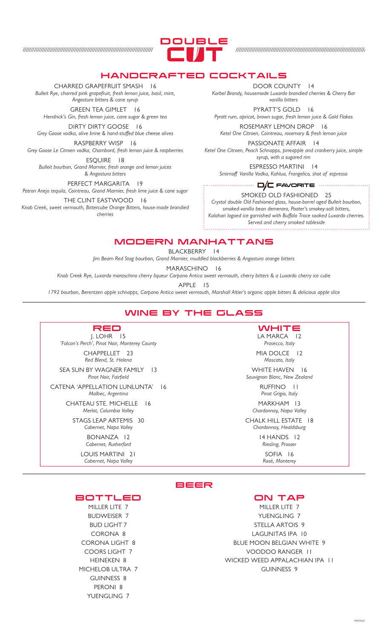

# HANDCRAFTED COCKTAIL

#### CHARRED GRAPEFRUIT SMASH 16

*Bulleit Rye, charred pink grapefruit, fresh lemon juice, basil, mint, Angostura bitters & cane syrup*

GREEN TEA GIMLET 16

*Hendrick's Gin, fresh lemon juice, cane sugar & green tea*

DIRTY DIRTY GOOSE 16 *Grey Goose vodka, olive brine & hand-stuffed blue cheese olives*

RASPBERRY WISP 16 *Grey Goose Le Citroen vodka, Chambord, fresh lemon juice & raspberries*

ESQUIRE 18 *Bulleit bourbon, Grand Marnier, fresh orange and lemon juices & Angostura bitters*

PERFECT MARGARITA 19 *Patron Anejo tequila, Cointreau, Grand Marnier, fresh lime juice & cane sugar*

THE CLINT EASTWOOD 16 *Knob Creek, sweet vermouth, Bittercube Orange Bitters, house-made brandied cherries*

DOOR COUNTY 14

*Korbel Brandy, housemade Luxardo brandied cherries & Cherry Bar vanilla bitters*

PYRATT'S GOLD 16 *Pyratt rum, apricot, brown sugar, fresh lemon juice & Gold Flakes*

ROSEMARY LEMON DROP 16 *Ketel One Citroen, Cointreau, rosemary & fresh lemon juice* PASSIONATE AFFAIR 14

*Ketel One Citroen, Peach Schnapps, pineapple and cranberry juice, simple syrup, with a sugared rim*

> ESPRESSO MARTINI 14 *Smirnoff Vanilla Vodka, Kahlua, Frangelico, shot of espresso*

#### FAVORITE

SMOKED OLD FASHIONED 25 *Crystal double Old Fashioned glass, house-barrel aged Bulleit bourbon, smoked-vanilla bean demerara, Pooter's smokey-salt bitters, Kalahari logoed ice garnished with Buffalo Trace soaked Luxardo cherries. Served and cherry smoked tableside*

MODERN MANHATTANS

BLACKBERRY 14

*Jim Beam Red Stag bourbon, Grand Marnier, muddled blackberries & Angostura orange bitters*

MARASCHINO 16

*Knob Creek Rye, Luxardo maraschino cherry liqueur Carpano Antica sweet vermouth, cherry bitters & a Luxardo cherry ice cube*

APPLE 15

*1792 bourbon, Berentzen apple schnapps, Carpano Antica sweet vermouth, Marshall Altier's organic apple bitters & delicious apple slice*

# WINE BY THE GLASS



J. LOHR 15 *'Falcon's Perch', Pinot Noir, Monterey County* CHAPPELLET 23 *Red Blend, St. Helena*

SEA SUN BY WAGNER FAMILY 13

*Pinot Noir, Fairfield* CATENA 'APPELLATION LUNLUNTA' 16 *Malbec, Argentina* CHATEAU STE. MICHELLE 16 *Merlot, Columbia Valley* STAGS LEAP ARTEMIS 30 *Cabernet, Napa Valley*

> BONANZA 12 *Cabernet, Rutherford*

LOUIS MARTINI 21 *Cabernet, Napa Valley*

#### LA MARCA 12 **WHITE**

*Prosecco, Italy*

MIA DOLCE 12 *Moscato, Italy* WHITE HAVEN 16

*Sauvignon Blanc, New Zealand* RUFFINO 11

*Pinot Grigio, Italy* MARKHAM 13

*Chardonnay, Napa Valley*

CHALK HILL ESTATE 18 *Chardonnay, Healdsburg*

14 HANDS 12 *Riesling, Prosser*

> SOFIA 16 *Rosé, Monterey*

### BEER

ON TAP

MILLER LITE 7 YUENGLING 7 STELLA ARTOIS 9 LAGUNITAS IPA 10 BLUE MOON BELGIAN WHITE 9 VOODOO RANGER 11 WICKED WEED APPALACHIAN IPA 11 GUINNESS 9

PA052022

#### **BOTTLED**

MILLER LITE 7 BUDWEISER 7 BUD LIGHT 7 CORONA 8 CORONA LIGHT 8 COORS LIGHT 7 HEINEKEN 8 MICHELOB ULTRA 7 GUINNESS 8 PERONI 8 YUENGLING 7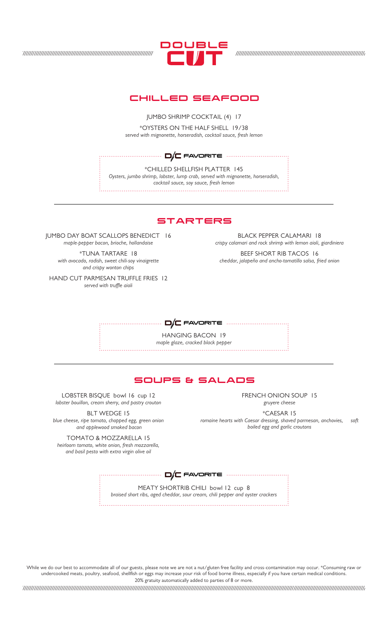

## CHILLED SEAFOOD

JUMBO SHRIMP COCKTAIL (4) 17

\*OYSTERS ON THE HALF SHELL 19/38 *served with mignonette, horseradish, cocktail sauce, fresh lemon*

FAVORITE

\*CHILLED SHELLFISH PLATTER 145 *Oysters, jumbo shrimp, lobster, lump crab, served with mignonette, horseradish, cocktail sauce, soy sauce, fresh lemon*

### **STARTERS**

JUMBO DAY BOAT SCALLOPS BENEDICT 16 *maple-pepper bacon, brioche, hollandaise*

\*TUNA TARTARE 18 *with avocado, radish, sweet chili-soy vinaigrette and crispy wonton chips*

HAND CUT PARMESAN TRUFFLE FRIES 12 *served with truffle aioli*

BLACK PEPPER CALAMARI 18 *crispy calamari and rock shrimp with lemon aioli, giardiniera*

BEEF SHORT RIB TACOS 16 *cheddar, jalapeño and ancho-tomatillo salsa, fried onion*



HANGING BACON 19 *maple glaze, cracked black pepper*

# SOUPS & SALADS

LOBSTER BISQUE bowl 16 cup 12 *lobster bouillon, cream sherry, and pastry crouton*

BLT WEDGE 15 *blue cheese, ripe tomato, chopped egg, green onion and applewood smoked bacon*

TOMATO & MOZZARELLA 15 *heirloom tomato, white onion, fresh mozzarella, and basil pesto with extra virgin olive oil*

FRENCH ONION SOUP 15 *gruyere cheese*

\*CAESAR 15 *romaine hearts with Caesar dressing, shaved parmesan, anchovies, soft boiled egg and garlic croutons*

MEATY SHORTRIB CHILI bowl 12 cup 8 *braised short ribs, aged cheddar, sour cream, chili pepper and oyster crackers* ............... **D/C** FAVORITE ............

While we do our best to accommodate all of our guests, please note we are not a nut/gluten free facility and cross-contamination may occur. \*Consuming raw or undercooked meats, poultry, seafood, shellfish or eggs may increase your risk of food borne illness, especially if you have certain medical conditions. 20% gratuity automatically added to parties of 8 or more.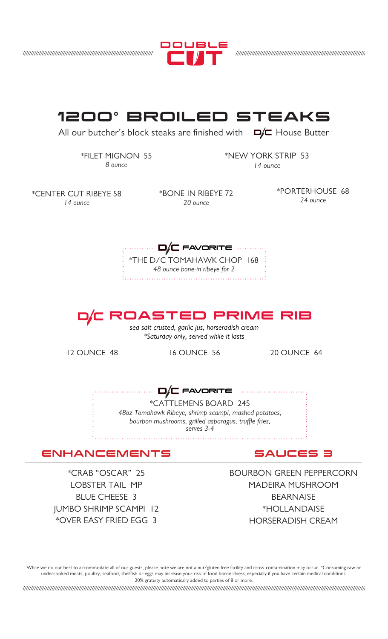



While we do our best to accommodate all of our guests, please note we are not a nut/gluten free facility and cross-contamination may occur. \*Consuming raw or undercooked meats, poultry, seafood, shellfish or eggs may increase your risk of food borne illness, especially if you have certain medical conditions. 20% gratuity automatically added to parties of 8 or more.